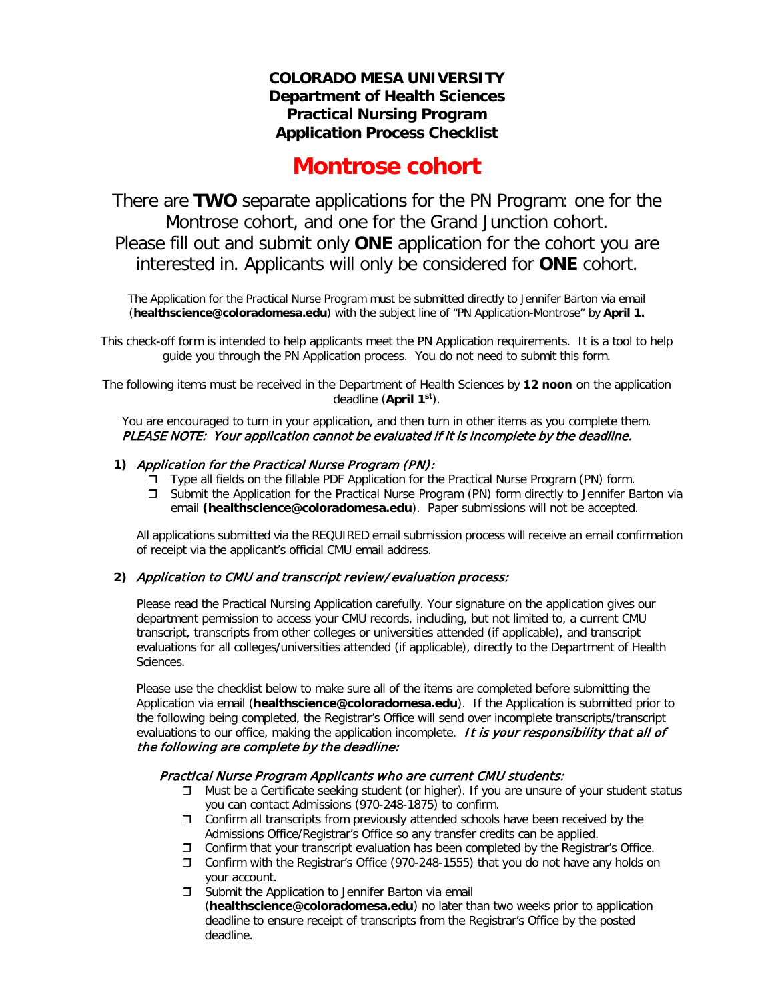## **COLORADO MESA UNIVERSITY Department of Health Sciences Practical Nursing Program Application Process Checklist**

# **Montrose cohort**

There are **TWO** separate applications for the PN Program: one for the Montrose cohort, and one for the Grand Junction cohort. Please fill out and submit only **ONE** application for the cohort you are interested in. Applicants will only be considered for **ONE** cohort.

The Application for the Practical Nurse Program must be submitted directly to Jennifer Barton via email (**[healthscience@coloradomesa.edu](mailto:rdphilli@coloradomesa.edu)**) with the subject line of "PN Application-Montrose" by **April 1.**

This check-off form is intended to help applicants meet the PN Application requirements. It is a tool to help guide you through the PN Application process. You do not need to submit this form.

The following items must be received in the Department of Health Sciences by **12 noon** on the application deadline (**April 1 st**).

You are encouraged to turn in your application, and then turn in other items as you complete them. PLEASE NOTE: Your application cannot be evaluated if it is incomplete by the deadline.

#### **1)** Application for the Practical Nurse Program (PN):

- Type all fields on the fillable PDF Application for the Practical Nurse Program (PN) form.
- Submit the Application for the Practical Nurse Program (PN) form directly to Jennifer Barton via email **[\(healthscience@coloradomesa.edu](mailto:rdphilli@coloradomesa.edu)**). Paper submissions will not be accepted.

All applications submitted via the REQUIRED email submission process will receive an email confirmation of receipt via the applicant's official CMU email address.

#### **2)** Application to CMU and transcript review/evaluation process:

Please read the Practical Nursing Application carefully. Your signature on the application gives our department permission to access your CMU records, including, but not limited to, a current CMU transcript, transcripts from other colleges or universities attended (if applicable), and transcript evaluations for all colleges/universities attended (if applicable), directly to the Department of Health Sciences.

Please use the checklist below to make sure all of the items are completed before submitting the Application via email (**[healthscience@coloradomesa.edu](mailto:rdphilli@coloradomesa.edu)**). If the Application is submitted prior to the following being completed, the Registrar's Office will send over incomplete transcripts/transcript evaluations to our office, making the application incomplete. It is your responsibility that all of the following are complete by the deadline:

#### Practical Nurse Program Applicants who are current CMU students:

- $\Box$  Must be a Certificate seeking student (or higher). If you are unsure of your student status you can contact Admissions (970-248-1875) to confirm.
- $\Box$  Confirm all transcripts from previously attended schools have been received by the Admissions Office/Registrar's Office so any transfer credits can be applied.
- $\Box$  Confirm that your transcript evaluation has been completed by the Registrar's Office.
- Confirm with the Registrar's Office (970-248-1555) that you do not have any holds on your account.
- $\square$  Submit the Application to Jennifer Barton via email (**[healthscience@coloradomesa.edu](mailto:rdphilli@coloradomesa.edu)**) no later than two weeks prior to application deadline to ensure receipt of transcripts from the Registrar's Office by the posted deadline.